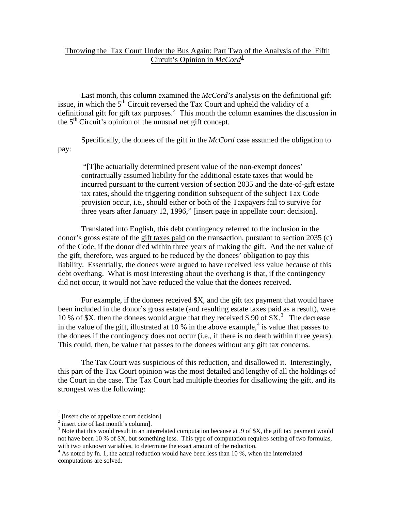## Throwing the Tax Court Under the Bus Again: Part Two of the Analysis of the Fifth Circuit's Opinion in *McCord[1](#page-0-0)*

Last month, this column examined the *McCord's* analysis on the definitional gift issue, in which the  $5<sup>th</sup>$  Circuit reversed the Tax Court and upheld the validity of a definitional gift for gift tax purposes.<sup>[2](#page-0-1)</sup> This month the column examines the discussion in the  $5<sup>th</sup>$  Circuit's opinion of the unusual net gift concept.

Specifically, the donees of the gift in the *McCord* case assumed the obligation to pay:

"[T]he actuarially determined present value of the non-exempt donees' contractually assumed liability for the additional estate taxes that would be incurred pursuant to the current version of section 2035 and the date-of-gift estate tax rates, should the triggering condition subsequent of the subject Tax Code provision occur, i.e., should either or both of the Taxpayers fail to survive for three years after January 12, 1996," [insert page in appellate court decision].

Translated into English, this debt contingency referred to the inclusion in the donor's gross estate of the gift taxes paid on the transaction, pursuant to section 2035 (c) of the Code, if the donor died within three years of making the gift. And the net value of the gift, therefore, was argued to be reduced by the donees' obligation to pay this liability. Essentially, the donees were argued to have received less value because of this debt overhang. What is most interesting about the overhang is that, if the contingency did not occur, it would not have reduced the value that the donees received.

For example, if the donees received \$X, and the gift tax payment that would have been included in the donor's gross estate (and resulting estate taxes paid as a result), were 10 % of \$X, then the donees would argue that they received \$.90 of  $X<sup>3</sup>$  $X<sup>3</sup>$  $X<sup>3</sup>$ . The decrease in the value of the gift, illustrated at 10 % in the above example,<sup>[4](#page-0-3)</sup> is value that passes to the donees if the contingency does not occur (i.e., if there is no death within three years). This could, then, be value that passes to the donees without any gift tax concerns.

The Tax Court was suspicious of this reduction, and disallowed it. Interestingly, this part of the Tax Court opinion was the most detailed and lengthy of all the holdings of the Court in the case. The Tax Court had multiple theories for disallowing the gift, and its strongest was the following:

 $\overline{a}$ 

<sup>&</sup>lt;sup>1</sup> [insert cite of appellate court decision]

<span id="page-0-1"></span><span id="page-0-0"></span> $2 \text{ insert cite of last month's column}.$ 

<span id="page-0-2"></span><sup>&</sup>lt;sup>3</sup> Note that this would result in an interrelated computation because at .9 of \$X, the gift tax payment would not have been 10 % of \$X, but something less. This type of computation requires setting of two formulas, with two unknown variables, to determine the exact amount of the reduction.

<span id="page-0-3"></span> $4$  As noted by fn. 1, the actual reduction would have been less than 10 %, when the interrelated computations are solved.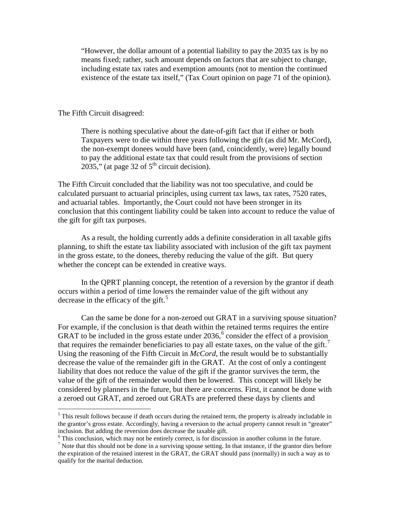"However, the dollar amount of a potential liability to pay the 2035 tax is by no means fixed; rather, such amount depends on factors that are subject to change, including estate tax rates and exemption amounts (not to mention the continued existence of the estate tax itself," (Tax Court opinion on page 71 of the opinion).

## The Fifth Circuit disagreed:

 $\overline{a}$ 

There is nothing speculative about the date-of-gift fact that if either or both Taxpayers were to die within three years following the gift (as did Mr. McCord), the non-exempt donees would have been (and, coincidently, were) legally bound to pay the additional estate tax that could result from the provisions of section 2035," (at page 32 of  $5<sup>th</sup>$  circuit decision).

The Fifth Circuit concluded that the liability was not too speculative, and could be calculated pursuant to actuarial principles, using current tax laws, tax rates, 7520 rates, and actuarial tables. Importantly, the Court could not have been stronger in its conclusion that this contingent liability could be taken into account to reduce the value of the gift for gift tax purposes.

As a result, the holding currently adds a definite consideration in all taxable gifts planning, to shift the estate tax liability associated with inclusion of the gift tax payment in the gross estate, to the donees, thereby reducing the value of the gift. But query whether the concept can be extended in creative ways.

In the QPRT planning concept, the retention of a reversion by the grantor if death occurs within a period of time lowers the remainder value of the gift without any decrease in the efficacy of the gift. $5$ 

Can the same be done for a non-zeroed out GRAT in a surviving spouse situation? For example, if the conclusion is that death within the retained terms requires the entire GRAT to be included in the gross estate under  $2036$  $2036$ ,  $6$  consider the effect of a provision that requires the remainder beneficiaries to pay all estate taxes, on the value of the gift.<sup>[7](#page-1-2)</sup> Using the reasoning of the Fifth Circuit in *McCord*, the result would be to substantially decrease the value of the remainder gift in the GRAT. At the cost of only a contingent liability that does not reduce the value of the gift if the grantor survives the term, the value of the gift of the remainder would then be lowered. This concept will likely be considered by planners in the future, but there are concerns. First, it cannot be done with a zeroed out GRAT, and zeroed out GRATs are preferred these days by clients and

<span id="page-1-0"></span> $<sup>5</sup>$  This result follows because if death occurs during the retained term, the property is already includable in</sup> the grantor's gross estate. Accordingly, having a reversion to the actual property cannot result in "greater" inclusion. But adding the reversion does decrease the taxable gift.

 $\delta$  This conclusion, which may not be entirely correct, is for discussion in another column in the future.

<span id="page-1-2"></span><span id="page-1-1"></span> $<sup>7</sup>$  Note that this should not be done in a surviving spouse setting. In that instance, if the grantor dies before</sup> the expiration of the retained interest in the GRAT, the GRAT should pass (normally) in such a way as to qualify for the marital deduction.